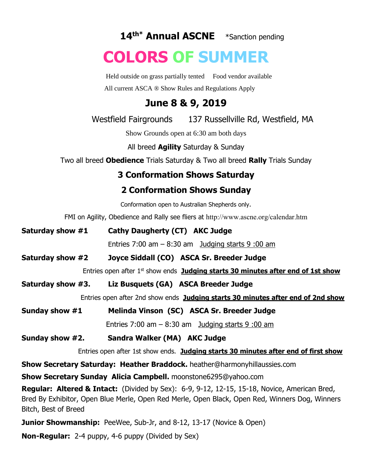**14 th\* Annual ASCNE** \*Sanction pending

# **COLORS OF SUMMER**

Held outside on grass partially tented Food vendor available All current ASCA ® Show Rules and Regulations Apply

## **June 8 & 9, 2019**

Westfield Fairgrounds 137 Russellville Rd, Westfield, MA

Show Grounds open at 6:30 am both days

All breed **Agility** Saturday & Sunday

Two all breed **Obedience** Trials Saturday & Two all breed **Rally** Trials Sunday

## **3 Conformation Shows Saturday**

## **2 Conformation Shows Sunday**

Conformation open to Australian Shepherds only.

FMI on Agility, Obedience and Rally see fliers at http://www.ascne.org/calendar.htm

| Saturday show #1                                                                                     | Cathy Daugherty (CT) AKC Judge                                                                      |
|------------------------------------------------------------------------------------------------------|-----------------------------------------------------------------------------------------------------|
|                                                                                                      | Entries $7:00$ am $-8:30$ am Judging starts 9:00 am                                                 |
| Saturday show #2                                                                                     | Joyce Siddall (CO) ASCA Sr. Breeder Judge                                                           |
|                                                                                                      | Entries open after 1 <sup>st</sup> show ends <b>Judging starts 30 minutes after end of 1st show</b> |
| Saturday show #3.                                                                                    | Liz Busquets (GA) ASCA Breeder Judge                                                                |
| Entries open after 2nd show ends Judging starts 30 minutes after end of 2nd show                     |                                                                                                     |
| Sunday show #1                                                                                       | Melinda Vinson (SC) ASCA Sr. Breeder Judge                                                          |
|                                                                                                      | Entries $7:00$ am $-8:30$ am Judging starts 9:00 am                                                 |
| Sunday show #2.                                                                                      | Sandra Walker (MA) AKC Judge                                                                        |
| Entries open after 1st show ends. Judging starts 30 minutes after end of first show                  |                                                                                                     |
| <b>Show Secretary Saturday: Heather Braddock.</b> heather@harmonyhillaussies.com                     |                                                                                                     |
| <b>Show Secretary Sunday Alicia Campbell.</b> moonstone6295@yahoo.com                                |                                                                                                     |
| <b>Degular Altered O Tripet:</b> (Divided by Coy): C 0, 0, 12, 12, 15, 15, 10, Novice, American Dred |                                                                                                     |

**Regular: Altered & Intact:** (Divided by Sex): 6-9, 9-12, 12-15, 15-18, Novice, American Bred, Bred By Exhibitor, Open Blue Merle, Open Red Merle, Open Black, Open Red, Winners Dog, Winners Bitch, Best of Breed

**Junior Showmanship:** PeeWee, Sub-Jr, and 8-12, 13-17 (Novice & Open)

**Non-Regular:** 2-4 puppy, 4-6 puppy (Divided by Sex)